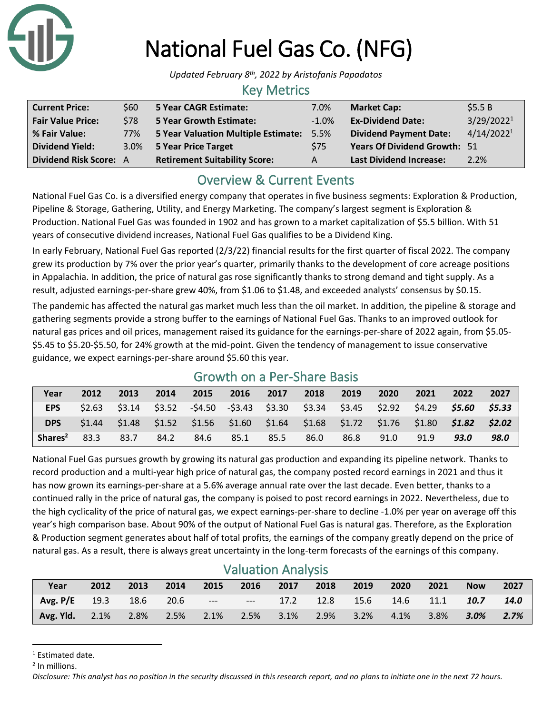

# National Fuel Gas Co. (NFG)

*Updated February 8th, 2022 by Aristofanis Papadatos*

### Key Metrics

| <b>Current Price:</b>         | \$60        | 5 Year CAGR Estimate:                | 7.0%    | <b>Market Cap:</b>                  | \$5.5B                 |
|-------------------------------|-------------|--------------------------------------|---------|-------------------------------------|------------------------|
| <b>Fair Value Price:</b>      | <b>\$78</b> | 5 Year Growth Estimate:              | $-1.0%$ | <b>Ex-Dividend Date:</b>            | 3/29/2022 <sup>1</sup> |
| % Fair Value:                 | 77%         | 5 Year Valuation Multiple Estimate:  | 5.5%    | <b>Dividend Payment Date:</b>       | 4/14/2022 <sup>1</sup> |
| <b>Dividend Yield:</b>        |             | 3.0% 5 Year Price Target             | \$75    | <b>Years Of Dividend Growth: 51</b> |                        |
| <b>Dividend Risk Score: A</b> |             | <b>Retirement Suitability Score:</b> | A       | <b>Last Dividend Increase:</b>      | 2.2%                   |

# Overview & Current Events

National Fuel Gas Co. is a diversified energy company that operates in five business segments: Exploration & Production, Pipeline & Storage, Gathering, Utility, and Energy Marketing. The company's largest segment is Exploration & Production. National Fuel Gas was founded in 1902 and has grown to a market capitalization of \$5.5 billion. With 51 years of consecutive dividend increases, National Fuel Gas qualifies to be a Dividend King.

In early February, National Fuel Gas reported (2/3/22) financial results for the first quarter of fiscal 2022. The company grew its production by 7% over the prior year's quarter, primarily thanks to the development of core acreage positions in Appalachia. In addition, the price of natural gas rose significantly thanks to strong demand and tight supply. As a result, adjusted earnings-per-share grew 40%, from \$1.06 to \$1.48, and exceeded analysts' consensus by \$0.15.

The pandemic has affected the natural gas market much less than the oil market. In addition, the pipeline & storage and gathering segments provide a strong buffer to the earnings of National Fuel Gas. Thanks to an improved outlook for natural gas prices and oil prices, management raised its guidance for the earnings-per-share of 2022 again, from \$5.05- \$5.45 to \$5.20-\$5.50, for 24% growth at the mid-point. Given the tendency of management to issue conservative guidance, we expect earnings-per-share around \$5.60 this year.

| Growth on a Per-Share Basis |        |      |      |                                                                         |      |      |      |      |      |        |        |        |
|-----------------------------|--------|------|------|-------------------------------------------------------------------------|------|------|------|------|------|--------|--------|--------|
| Year                        | 2012   | 2013 | 2014 | 2015                                                                    | 2016 | 2017 | 2018 | 2019 | 2020 | 2021   | 2022   | 2027   |
| EPS                         |        |      |      | $$2.63$ $$3.14$ $$3.52$ $$4.50$ $$3.43$ $$3.30$ $$3.34$ $$3.45$ $$2.92$ |      |      |      |      |      | \$4.29 | \$5.60 | \$5.33 |
| <b>DPS</b>                  | \$1.44 |      |      | $$1.48$ $$1.52$ $$1.56$ $$1.60$ $$1.64$ $$1.68$ $$1.72$ $$1.76$ $$1.80$ |      |      |      |      |      |        | S1.82  | \$2.02 |
| Shares <sup>2</sup>         | 83.3   | 83.7 | 84.2 | 84.6                                                                    | 85.1 | 85.5 | 86.0 | 86.8 | 91.0 | 91.9   | 93.0   | 98.0   |

# Growth on a Per-Share Basis

National Fuel Gas pursues growth by growing its natural gas production and expanding its pipeline network. Thanks to record production and a multi-year high price of natural gas, the company posted record earnings in 2021 and thus it has now grown its earnings-per-share at a 5.6% average annual rate over the last decade. Even better, thanks to a continued rally in the price of natural gas, the company is poised to post record earnings in 2022. Nevertheless, due to the high cyclicality of the price of natural gas, we expect earnings-per-share to decline -1.0% per year on average off this year's high comparison base. About 90% of the output of National Fuel Gas is natural gas. Therefore, as the Exploration & Production segment generates about half of total profits, the earnings of the company greatly depend on the price of natural gas. As a result, there is always great uncertainty in the long-term forecasts of the earnings of this company.

# Valuation Analysis

| Year                                                                         | 2012 | 2013 2014 |  | 2015 2016 2017 2018 2019 2020 |  | 2021 | <b>Now</b> | 2027 |
|------------------------------------------------------------------------------|------|-----------|--|-------------------------------|--|------|------------|------|
| Avg. P/E 19.3 18.6 20.6 --- --- 17.2 12.8 15.6 14.6 11.1 10.7 14.0           |      |           |  |                               |  |      |            |      |
| <b>Avg. Yld.</b> 2.1% 2.8% 2.5% 2.1% 2.5% 3.1% 2.9% 3.2% 4.1% 3.8% 3.0% 2.7% |      |           |  |                               |  |      |            |      |

<sup>1</sup> Estimated date.

2 In millions.

*Disclosure: This analyst has no position in the security discussed in this research report, and no plans to initiate one in the next 72 hours.*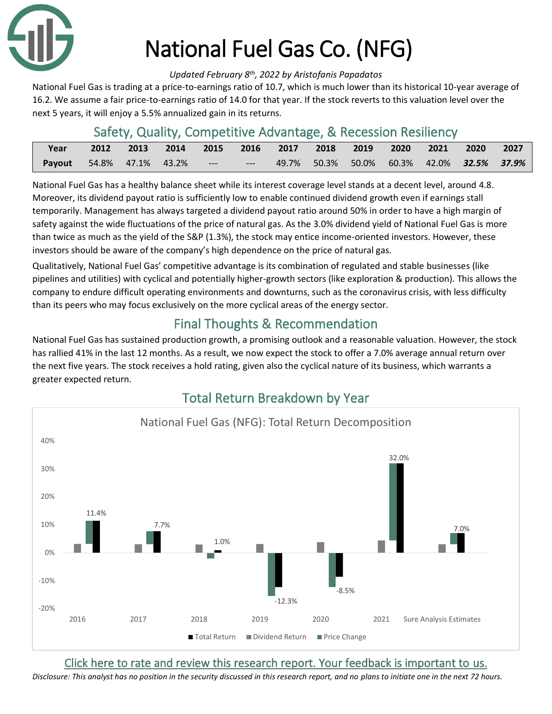

# National Fuel Gas Co. (NFG)

#### *Updated February 8th, 2022 by Aristofanis Papadatos*

National Fuel Gas is trading at a price-to-earnings ratio of 10.7, which is much lower than its historical 10-year average of 16.2. We assume a fair price-to-earnings ratio of 14.0 for that year. If the stock reverts to this valuation level over the next 5 years, it will enjoy a 5.5% annualized gain in its returns.

# Safety, Quality, Competitive Advantage, & Recession Resiliency

| Year                                                                                       |  | 2012 2013 2014 2015 2016 2017 2018 2019 2020 2021 2020 2027 |  |  |  |  |  |
|--------------------------------------------------------------------------------------------|--|-------------------------------------------------------------|--|--|--|--|--|
| <b>Payout</b> 54.8% 47.1% 43.2% --- -- -- 49.7% 50.3% 50.0% 60.3% 42.0% <b>32.5% 37.9%</b> |  |                                                             |  |  |  |  |  |

National Fuel Gas has a healthy balance sheet while its interest coverage level stands at a decent level, around 4.8. Moreover, its dividend payout ratio is sufficiently low to enable continued dividend growth even if earnings stall temporarily. Management has always targeted a dividend payout ratio around 50% in order to have a high margin of safety against the wide fluctuations of the price of natural gas. As the 3.0% dividend yield of National Fuel Gas is more than twice as much as the yield of the S&P (1.3%), the stock may entice income-oriented investors. However, these investors should be aware of the company's high dependence on the price of natural gas.

Qualitatively, National Fuel Gas' competitive advantage is its combination of regulated and stable businesses (like pipelines and utilities) with cyclical and potentially higher-growth sectors (like exploration & production). This allows the company to endure difficult operating environments and downturns, such as the coronavirus crisis, with less difficulty than its peers who may focus exclusively on the more cyclical areas of the energy sector.

# Final Thoughts & Recommendation

National Fuel Gas has sustained production growth, a promising outlook and a reasonable valuation. However, the stock has rallied 41% in the last 12 months. As a result, we now expect the stock to offer a 7.0% average annual return over the next five years. The stock receives a hold rating, given also the cyclical nature of its business, which warrants a greater expected return.



# [Click here to rate and review this research report. Your feedback is important to us.](https://suredividend.typeform.com/to/XY4lgv)

*Disclosure: This analyst has no position in the security discussed in this research report, and no plans to initiate one in the next 72 hours.*

# Total Return Breakdown by Year